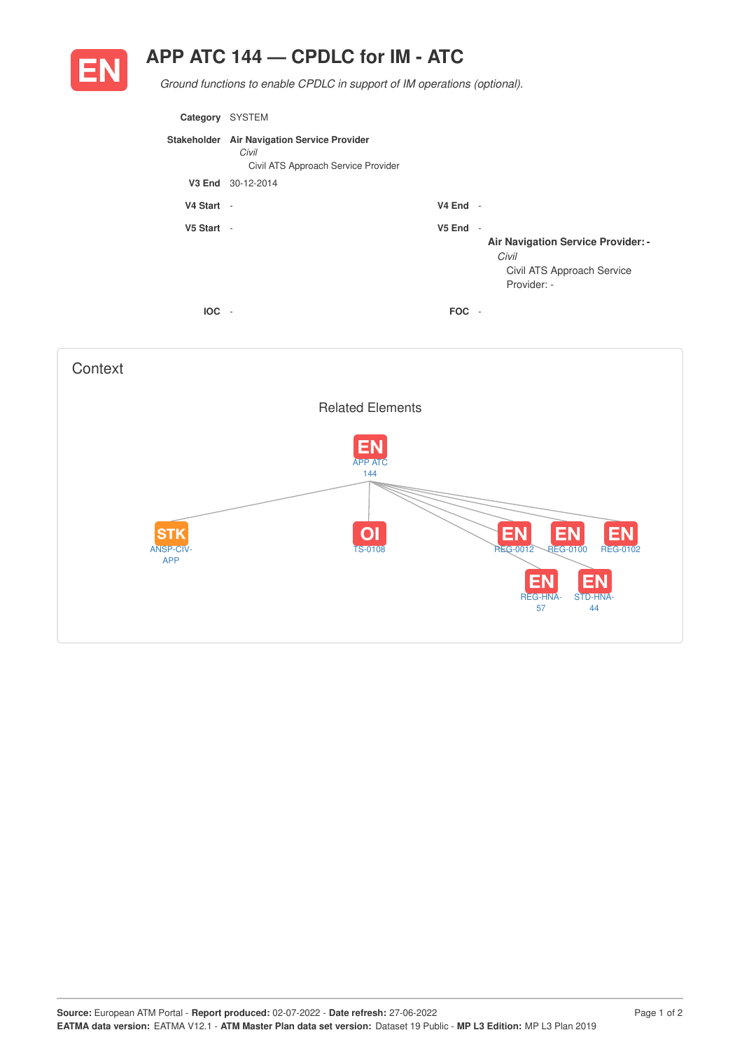## **APP ATC 144 — CPDLC for IM - ATC**



*Ground functions to enable CPDLC in support of IM operations (optional).*

| Category   | <b>SYSTEM</b>                                                                               |            |                                                                                          |
|------------|---------------------------------------------------------------------------------------------|------------|------------------------------------------------------------------------------------------|
|            | Stakeholder Air Navigation Service Provider<br>Civil<br>Civil ATS Approach Service Provider |            |                                                                                          |
|            | V3 End 30-12-2014                                                                           |            |                                                                                          |
| V4 Start - |                                                                                             | $V4$ End - |                                                                                          |
| V5 Start - |                                                                                             | $V5$ End - | Air Navigation Service Provider: -<br>Civil<br>Civil ATS Approach Service<br>Provider: - |
| <b>IOC</b> |                                                                                             | <b>FOC</b> |                                                                                          |